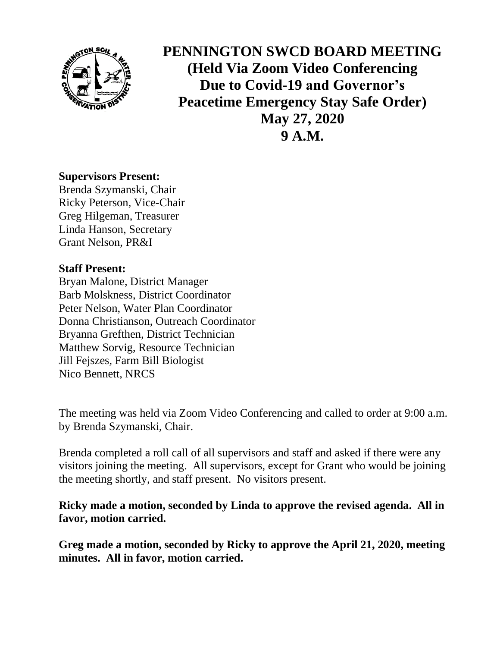

**PENNINGTON SWCD BOARD MEETING (Held Via Zoom Video Conferencing Due to Covid-19 and Governor's Peacetime Emergency Stay Safe Order) May 27, 2020 9 A.M.**

#### **Supervisors Present:**

Brenda Szymanski, Chair Ricky Peterson, Vice-Chair Greg Hilgeman, Treasurer Linda Hanson, Secretary Grant Nelson, PR&I

### **Staff Present:**

Bryan Malone, District Manager Barb Molskness, District Coordinator Peter Nelson, Water Plan Coordinator Donna Christianson, Outreach Coordinator Bryanna Grefthen, District Technician Matthew Sorvig, Resource Technician Jill Fejszes, Farm Bill Biologist Nico Bennett, NRCS

The meeting was held via Zoom Video Conferencing and called to order at 9:00 a.m. by Brenda Szymanski, Chair.

Brenda completed a roll call of all supervisors and staff and asked if there were any visitors joining the meeting. All supervisors, except for Grant who would be joining the meeting shortly, and staff present. No visitors present.

**Ricky made a motion, seconded by Linda to approve the revised agenda. All in favor, motion carried.**

**Greg made a motion, seconded by Ricky to approve the April 21, 2020, meeting minutes. All in favor, motion carried.**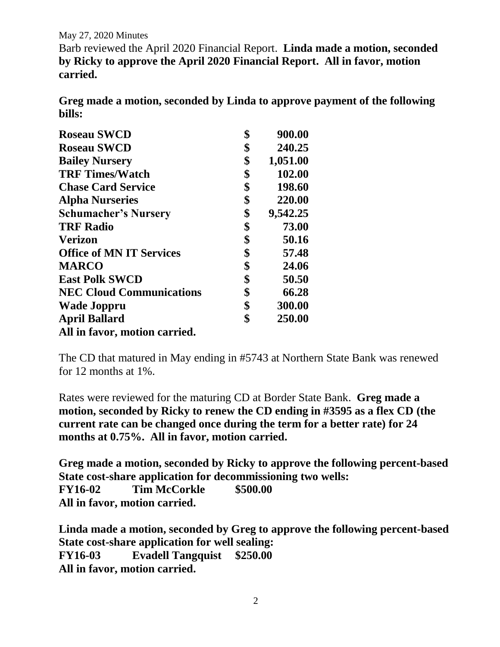May 27, 2020 Minutes

Barb reviewed the April 2020 Financial Report. **Linda made a motion, seconded by Ricky to approve the April 2020 Financial Report. All in favor, motion carried.**

**Greg made a motion, seconded by Linda to approve payment of the following bills:**

| <b>Roseau SWCD</b>              | \$<br>900.00   |
|---------------------------------|----------------|
| <b>Roseau SWCD</b>              | \$<br>240.25   |
| <b>Bailey Nursery</b>           | \$<br>1,051.00 |
| <b>TRF Times/Watch</b>          | \$<br>102.00   |
| <b>Chase Card Service</b>       | \$<br>198.60   |
| <b>Alpha Nurseries</b>          | \$<br>220.00   |
| <b>Schumacher's Nursery</b>     | \$<br>9,542.25 |
| <b>TRF Radio</b>                | \$<br>73.00    |
| <b>Verizon</b>                  | \$<br>50.16    |
| <b>Office of MN IT Services</b> | \$<br>57.48    |
| <b>MARCO</b>                    | \$<br>24.06    |
| <b>East Polk SWCD</b>           | \$<br>50.50    |
| <b>NEC Cloud Communications</b> | \$<br>66.28    |
| <b>Wade Joppru</b>              | \$<br>300.00   |
| <b>April Ballard</b>            | \$<br>250.00   |
| All in favor, motion carried.   |                |

The CD that matured in May ending in #5743 at Northern State Bank was renewed for 12 months at 1%.

Rates were reviewed for the maturing CD at Border State Bank. **Greg made a motion, seconded by Ricky to renew the CD ending in #3595 as a flex CD (the current rate can be changed once during the term for a better rate) for 24 months at 0.75%. All in favor, motion carried.**

**Greg made a motion, seconded by Ricky to approve the following percent-based State cost-share application for decommissioning two wells: FY16-02 Tim McCorkle \$500.00 All in favor, motion carried.**

**Linda made a motion, seconded by Greg to approve the following percent-based State cost-share application for well sealing: FY16-03 Evadell Tangquist \$250.00 All in favor, motion carried.**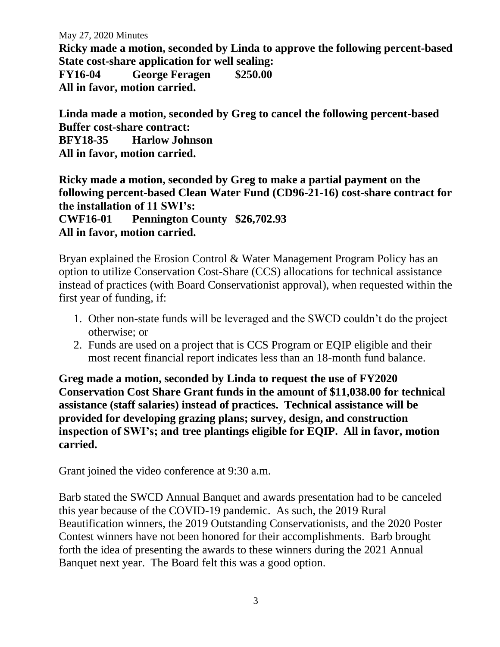May 27, 2020 Minutes

**Ricky made a motion, seconded by Linda to approve the following percent-based State cost-share application for well sealing:**

**FY16-04 George Feragen \$250.00 All in favor, motion carried.**

**Linda made a motion, seconded by Greg to cancel the following percent-based Buffer cost-share contract: BFY18-35 Harlow Johnson**

**All in favor, motion carried.**

**Ricky made a motion, seconded by Greg to make a partial payment on the following percent-based Clean Water Fund (CD96-21-16) cost-share contract for the installation of 11 SWI's:**

**CWF16-01 Pennington County \$26,702.93 All in favor, motion carried.**

Bryan explained the Erosion Control & Water Management Program Policy has an option to utilize Conservation Cost-Share (CCS) allocations for technical assistance instead of practices (with Board Conservationist approval), when requested within the first year of funding, if:

- 1. Other non-state funds will be leveraged and the SWCD couldn't do the project otherwise; or
- 2. Funds are used on a project that is CCS Program or EQIP eligible and their most recent financial report indicates less than an 18-month fund balance.

**Greg made a motion, seconded by Linda to request the use of FY2020 Conservation Cost Share Grant funds in the amount of \$11,038.00 for technical assistance (staff salaries) instead of practices. Technical assistance will be provided for developing grazing plans; survey, design, and construction inspection of SWI's; and tree plantings eligible for EQIP. All in favor, motion carried.**

Grant joined the video conference at 9:30 a.m.

Barb stated the SWCD Annual Banquet and awards presentation had to be canceled this year because of the COVID-19 pandemic. As such, the 2019 Rural Beautification winners, the 2019 Outstanding Conservationists, and the 2020 Poster Contest winners have not been honored for their accomplishments. Barb brought forth the idea of presenting the awards to these winners during the 2021 Annual Banquet next year. The Board felt this was a good option.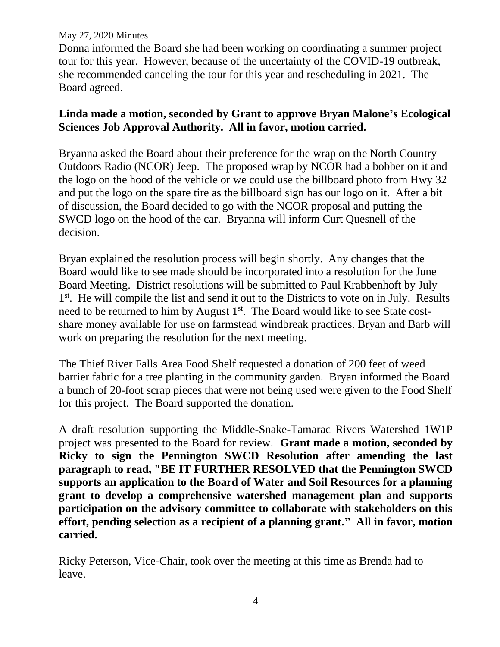#### May 27, 2020 Minutes

Donna informed the Board she had been working on coordinating a summer project tour for this year. However, because of the uncertainty of the COVID-19 outbreak, she recommended canceling the tour for this year and rescheduling in 2021. The Board agreed.

# **Linda made a motion, seconded by Grant to approve Bryan Malone's Ecological Sciences Job Approval Authority. All in favor, motion carried.**

Bryanna asked the Board about their preference for the wrap on the North Country Outdoors Radio (NCOR) Jeep. The proposed wrap by NCOR had a bobber on it and the logo on the hood of the vehicle or we could use the billboard photo from Hwy 32 and put the logo on the spare tire as the billboard sign has our logo on it. After a bit of discussion, the Board decided to go with the NCOR proposal and putting the SWCD logo on the hood of the car. Bryanna will inform Curt Quesnell of the decision.

Bryan explained the resolution process will begin shortly. Any changes that the Board would like to see made should be incorporated into a resolution for the June Board Meeting. District resolutions will be submitted to Paul Krabbenhoft by July 1<sup>st</sup>. He will compile the list and send it out to the Districts to vote on in July. Results need to be returned to him by August 1<sup>st</sup>. The Board would like to see State costshare money available for use on farmstead windbreak practices. Bryan and Barb will work on preparing the resolution for the next meeting.

The Thief River Falls Area Food Shelf requested a donation of 200 feet of weed barrier fabric for a tree planting in the community garden. Bryan informed the Board a bunch of 20-foot scrap pieces that were not being used were given to the Food Shelf for this project. The Board supported the donation.

A draft resolution supporting the Middle-Snake-Tamarac Rivers Watershed 1W1P project was presented to the Board for review. **Grant made a motion, seconded by Ricky to sign the Pennington SWCD Resolution after amending the last paragraph to read, "BE IT FURTHER RESOLVED that the Pennington SWCD supports an application to the Board of Water and Soil Resources for a planning grant to develop a comprehensive watershed management plan and supports participation on the advisory committee to collaborate with stakeholders on this effort, pending selection as a recipient of a planning grant." All in favor, motion carried.**

Ricky Peterson, Vice-Chair, took over the meeting at this time as Brenda had to leave.